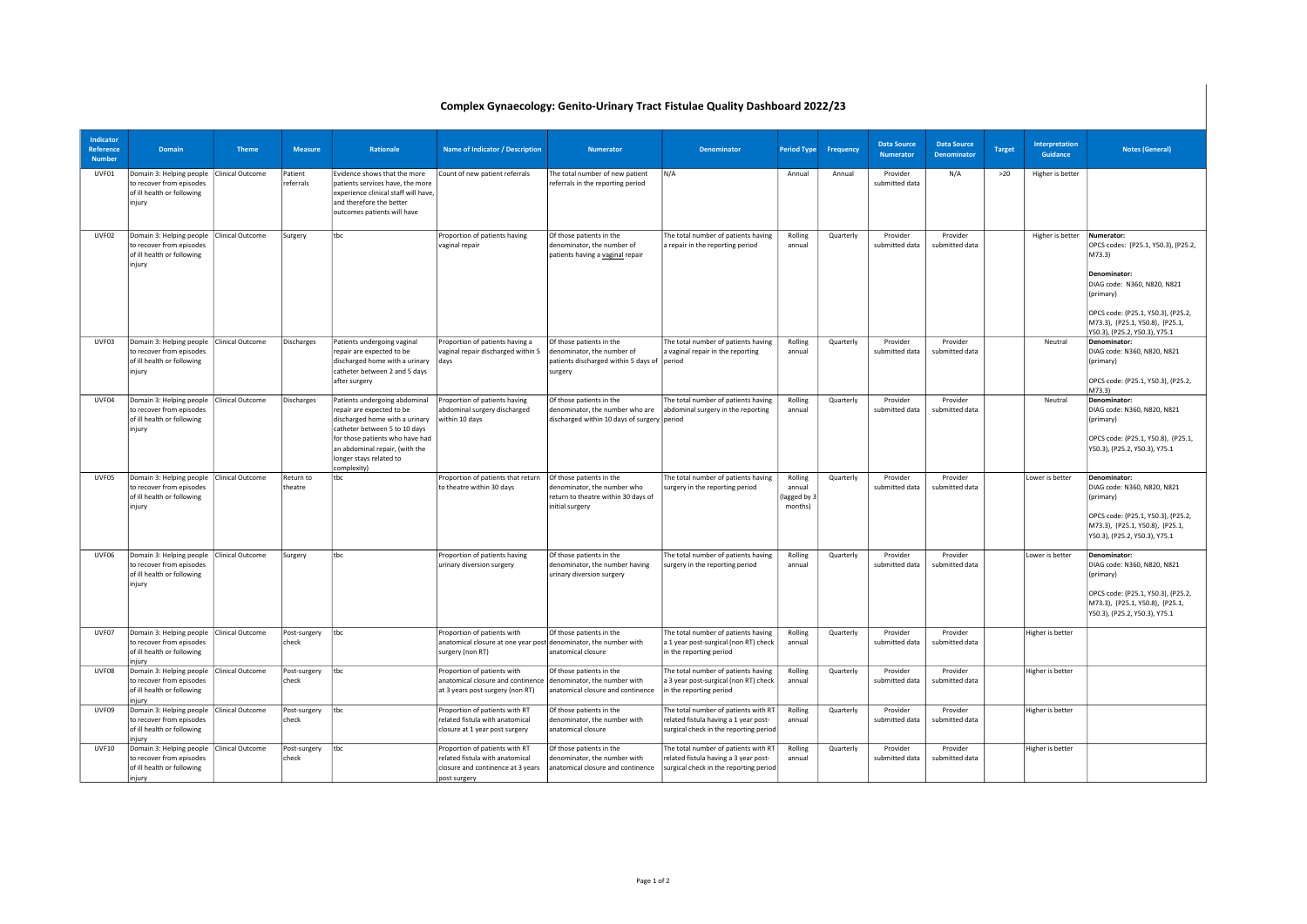## Complex Gynaecology: Genito-Urinary Tract Fistulae Quality Dashboard 2022/23

| Indicator<br>Reference<br><b>Number</b> | Domain                                                                                                          | <b>Theme</b>            | <b>Measure</b>        | Rationale                                                                                                                                                                                                                                    | Name of Indicator / Description                                                                                        | <b>Numerator</b>                                                                                                  | Denominator                                                                                                             | <b>Period Type</b>                          | Frequency | <b>Data Source</b><br><b>Numerator</b> | <b>Data Source</b><br><b>Denominator</b> | <b>Target</b> | Interpretation<br>Guidance | <b>Notes (General)</b>                                                                                                                                                                                                            |
|-----------------------------------------|-----------------------------------------------------------------------------------------------------------------|-------------------------|-----------------------|----------------------------------------------------------------------------------------------------------------------------------------------------------------------------------------------------------------------------------------------|------------------------------------------------------------------------------------------------------------------------|-------------------------------------------------------------------------------------------------------------------|-------------------------------------------------------------------------------------------------------------------------|---------------------------------------------|-----------|----------------------------------------|------------------------------------------|---------------|----------------------------|-----------------------------------------------------------------------------------------------------------------------------------------------------------------------------------------------------------------------------------|
| UVF01                                   | Domain 3: Helping people<br>to recover from episodes<br>of ill health or following<br>injury                    | <b>Clinical Outcome</b> | Patient<br>referrals  | Evidence shows that the more<br>patients services have, the more<br>experience clinical staff will have,<br>and therefore the better<br>outcomes patients will have                                                                          | Count of new patient referrals                                                                                         | The total number of new patient<br>referrals in the reporting period                                              | N/A                                                                                                                     | Annual                                      | Annual    | Provider<br>submitted data             | N/A                                      | >20           | Higher is better           |                                                                                                                                                                                                                                   |
| UVF02                                   | Domain 3: Helping people   Clinical Outcome<br>to recover from episodes<br>of ill health or following<br>injury |                         | Surgery               | tbc                                                                                                                                                                                                                                          | Proportion of patients having<br>vaginal repair                                                                        | Of those patients in the<br>denominator, the number of<br>patients having a vaginal repair                        | The total number of patients having<br>a repair in the reporting period                                                 | Rolling<br>annual                           | Quarterly | Provider<br>submitted data             | Provider<br>submitted data               |               | Higher is better           | Numerator:<br>OPCS codes: (P25.1, Y50.3), (P25.2,<br>M73.3)<br>Denominator:<br>DIAG code: N360, N820, N821<br>(primary)<br>OPCS code: (P25.1, Y50.3), (P25.2,<br>M73.3), (P25.1, Y50.8), (P25.1,<br>Y50.3), (P25.2, Y50.3), Y75.1 |
| UVF03                                   | Domain 3: Helping people   Clinical Outcome<br>to recover from episodes<br>of ill health or following<br>injury |                         | Discharges            | Patients undergoing vaginal<br>repair are expected to be<br>discharged home with a urinary<br>catheter between 2 and 5 days<br>after surgery                                                                                                 | Proportion of patients having a<br>vaginal repair discharged within 5<br>ldavs                                         | Of those patients in the<br>denominator, the number of<br>patients discharged within 5 days of period<br>surgery  | The total number of patients having<br>a vaginal repair in the reporting                                                | Rolling<br>annual                           | Quarterly | Provider<br>submitted data             | Provider<br>submitted data               |               | Neutral                    | Denominator:<br>DIAG code: N360, N820, N821<br>(primary)<br>OPCS code: (P25.1, Y50.3), (P25.2,<br>M73.3)                                                                                                                          |
| UVF04                                   | Domain 3: Helping people Clinical Outcome<br>to recover from episodes<br>of ill health or following<br>injury   |                         | Discharges            | Patients undergoing abdominal<br>repair are expected to be<br>discharged home with a urinary<br>catheter between 5 to 10 days<br>for those patients who have had<br>an abdominal repair, (with the<br>longer stays related to<br>complexity) | Proportion of patients having<br>abdominal surgery discharged<br>within 10 days                                        | Of those patients in the<br>denominator, the number who are<br>discharged within 10 days of surgery period        | The total number of patients having<br>abdominal surgery in the reporting                                               | Rolling<br>annual                           | Quarterly | Provider<br>submitted data             | Provider<br>submitted data               |               | Neutral                    | Denominator:<br>DIAG code: N360, N820, N821<br>(primary)<br>OPCS code: (P25.1, Y50.8), (P25.1,<br>Y50.3), (P25.2, Y50.3), Y75.1                                                                                                   |
| UVF05                                   | Domain 3: Helping people   Clinical Outcome<br>to recover from episodes<br>of ill health or following<br>injury |                         | Return to<br>theatre  | tbc                                                                                                                                                                                                                                          | Proportion of patients that return<br>to theatre within 30 days                                                        | Of those patients in the<br>denominator, the number who<br>return to theatre within 30 days of<br>initial surgery | The total number of patients having<br>surgery in the reporting period                                                  | Rolling<br>annual<br>lagged by 3<br>months) | Quarterly | Provider<br>submitted data             | Provider<br>submitted data               |               | Lower is better            | Denominator:<br>DIAG code: N360, N820, N821<br>(primary)<br>OPCS code: (P25.1, Y50.3), (P25.2,<br>M73.3), (P25.1, Y50.8), (P25.1,<br>Y50.3), (P25.2, Y50.3), Y75.1                                                                |
| UVF06                                   | Domain 3: Helping people   Clinical Outcome<br>to recover from episodes<br>of ill health or following<br>injury |                         | Surgery               | tbc                                                                                                                                                                                                                                          | Proportion of patients having<br>urinary diversion surgery                                                             | Of those patients in the<br>denominator, the number having<br>urinary diversion surgery                           | The total number of patients having<br>surgery in the reporting period                                                  | Rolling<br>annual                           | Quarterly | Provider<br>submitted data             | Provider<br>submitted data               |               | Lower is better            | Denominator:<br>DIAG code: N360, N820, N821<br>(primary)<br>OPCS code: (P25.1, Y50.3), (P25.2,<br>M73.3), (P25.1, Y50.8), (P25.1,<br>Y50.3), (P25.2, Y50.3), Y75.1                                                                |
| UVF07                                   | Domain 3: Helping people   Clinical Outcome<br>to recover from episodes<br>of ill health or following<br>injury |                         | Post-surgery<br>check | tbc                                                                                                                                                                                                                                          | Proportion of patients with<br>anatomical closure at one year post denominator, the number with<br>surgery (non RT)    | Of those patients in the<br>anatomical closure                                                                    | The total number of patients having<br>a 1 year post-surgical (non RT) check<br>in the reporting period                 | Rolling<br>annual                           | Quarterly | Provider<br>submitted data             | Provider<br>submitted data               |               | Higher is better           |                                                                                                                                                                                                                                   |
| UVF08                                   | Domain 3: Helping people   Clinical Outcome<br>to recover from episodes<br>of ill health or following<br>injury |                         | Post-surgery<br>check | tbc                                                                                                                                                                                                                                          | Proportion of patients with<br>anatomical closure and continence<br>at 3 years post surgery (non RT)                   | Of those patients in the<br>denominator, the number with<br>anatomical closure and continence                     | The total number of patients having<br>a 3 year post-surgical (non RT) check<br>in the reporting period                 | Rolling<br>annual                           | Quarterly | Provider<br>submitted data             | Provider<br>submitted data               |               | Higher is better           |                                                                                                                                                                                                                                   |
| UVF09                                   | Domain 3: Helping people   Clinical Outcome<br>to recover from episodes<br>of ill health or following<br>njury  |                         | Post-surgery<br>check | tbc                                                                                                                                                                                                                                          | Proportion of patients with RT<br>related fistula with anatomical<br>closure at 1 year post surgery                    | Of those patients in the<br>denominator, the number with<br>anatomical closure                                    | The total number of patients with RT<br>related fistula having a 1 year post-<br>surgical check in the reporting period | Rolling<br>annual                           | Quarterly | Provider<br>submitted data             | Provider<br>submitted data               |               | Higher is better           |                                                                                                                                                                                                                                   |
| <b>UVF10</b>                            | Domain 3: Helping people   Clinical Outcome<br>to recover from episodes<br>of ill health or following<br>injury |                         | Post-surgery<br>check | tbc                                                                                                                                                                                                                                          | Proportion of patients with RT<br>related fistula with anatomical<br>closure and continence at 3 years<br>post surgery | Of those patients in the<br>denominator, the number with<br>anatomical closure and continence                     | The total number of patients with RT<br>related fistula having a 3 year post-<br>surgical check in the reporting period | Rolling<br>annual                           | Quarterly | Provider<br>submitted data             | Provider<br>submitted data               |               | Higher is better           |                                                                                                                                                                                                                                   |